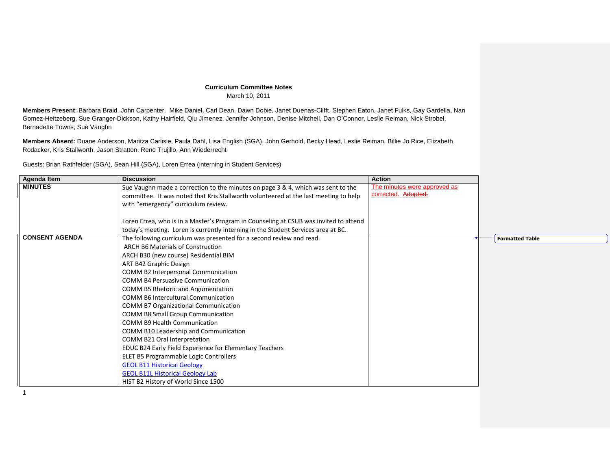## **Curriculum Committee Notes** March 10, 2011

**Members Present**: Barbara Braid, John Carpenter, Mike Daniel, Carl Dean, Dawn Dobie, Janet Duenas-Clifft, Stephen Eaton, Janet Fulks, Gay Gardella, Nan Gomez-Heitzeberg, Sue Granger-Dickson, Kathy Hairfield, Qiu Jimenez, Jennifer Johnson, Denise Mitchell, Dan O'Connor, Leslie Reiman, Nick Strobel, Bernadette Towns, Sue Vaughn

**Members Absent:** Duane Anderson, Maritza Carlisle, Paula Dahl, Lisa English (SGA), John Gerhold, Becky Head, Leslie Reiman, Billie Jo Rice, Elizabeth Rodacker, Kris Stallworth, Jason Stratton, Rene Trujillo, Ann Wiederrecht

Guests: Brian Rathfelder (SGA), Sean Hill (SGA), Loren Errea (interning in Student Services)

| <b>Agenda Item</b>    | <b>Discussion</b>                                                                     | <b>Action</b>                |                        |
|-----------------------|---------------------------------------------------------------------------------------|------------------------------|------------------------|
| <b>MINUTES</b>        | Sue Vaughn made a correction to the minutes on page 3 & 4, which was sent to the      | The minutes were approved as |                        |
|                       | committee. It was noted that Kris Stallworth volunteered at the last meeting to help  | corrected. Adopted.          |                        |
|                       | with "emergency" curriculum review.                                                   |                              |                        |
|                       |                                                                                       |                              |                        |
|                       | Loren Errea, who is in a Master's Program in Counseling at CSUB was invited to attend |                              |                        |
|                       | today's meeting. Loren is currently interning in the Student Services area at BC.     |                              |                        |
| <b>CONSENT AGENDA</b> | The following curriculum was presented for a second review and read.                  |                              | <b>Formatted Table</b> |
|                       | ARCH B6 Materials of Construction                                                     |                              |                        |
|                       | ARCH B30 (new course) Residential BIM                                                 |                              |                        |
|                       | ART B42 Graphic Design                                                                |                              |                        |
|                       | <b>COMM B2 Interpersonal Communication</b>                                            |                              |                        |
|                       | <b>COMM B4 Persuasive Communication</b>                                               |                              |                        |
|                       | COMM B5 Rhetoric and Argumentation                                                    |                              |                        |
|                       | <b>COMM B6 Intercultural Communication</b>                                            |                              |                        |
|                       | <b>COMM B7 Organizational Communication</b>                                           |                              |                        |
|                       | <b>COMM B8 Small Group Communication</b>                                              |                              |                        |
|                       | <b>COMM B9 Health Communication</b>                                                   |                              |                        |
|                       | COMM B10 Leadership and Communication                                                 |                              |                        |
|                       | COMM B21 Oral Interpretation                                                          |                              |                        |
|                       | EDUC B24 Early Field Experience for Elementary Teachers                               |                              |                        |
|                       | ELET B5 Programmable Logic Controllers                                                |                              |                        |
|                       | <b>GEOL B11 Historical Geology</b>                                                    |                              |                        |
|                       | <b>GEOL B11L Historical Geology Lab</b>                                               |                              |                        |
|                       | HIST B2 History of World Since 1500                                                   |                              |                        |

1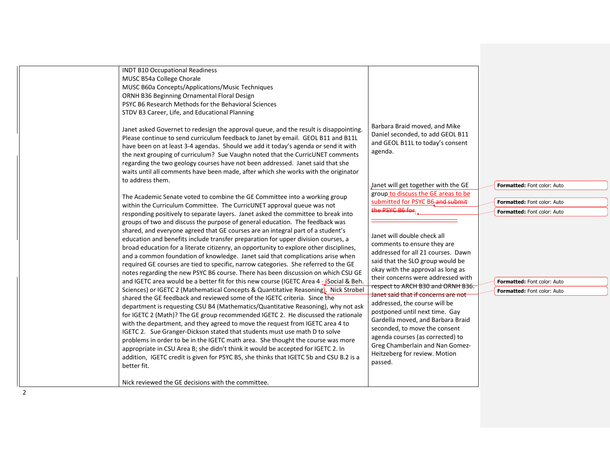| and GEOL B11L to today's consent<br>have been on at least 3-4 agendas. Should we add it today's agenda or send it with<br>agenda.<br>the next grouping of curriculum? Sue Vaughn noted that the CurricUNET comments<br>regarding the two geology courses have not been addressed. Janet said that she<br>waits until all comments have been made, after which she works with the originator<br>to address them.<br>Janet will get together with the GE<br><b>Formatted: Font color: Auto</b><br>group to discuss the GE areas to be<br>The Academic Senate voted to combine the GE Committee into a working group<br>submitted for PSYC B6-and submit<br>Formatted: Font color: Auto<br>within the Curriculum Committee. The CurricUNET approval queue was not<br>the PSYC B6 for.<br>Formatted: Font color: Auto<br>responding positively to separate layers. Janet asked the committee to break into<br>groups of two and discuss the purpose of general education. The feedback was<br>shared, and everyone agreed that GE courses are an integral part of a student's<br>Janet will double check all<br>education and benefits include transfer preparation for upper division courses, a<br>comments to ensure they are<br>broad education for a literate citizenry, an opportunity to explore other disciplines,<br>addressed for all 21 courses. Dawn<br>and a common foundation of knowledge. Janet said that complications arise when<br>said that the SLO group would be<br>required GE courses are tied to specific, narrow categories. She referred to the GE<br>okay with the approval as long as<br>notes regarding the new PSYC B6 course. There has been discussion on which CSU GE<br>their concerns were addressed with<br>and IGETC area would be a better fit for this new course (IGETC Area 4 - focial & Beh.<br><b>Formatted: Font color: Auto</b><br>respect to ARCH B30 and ORNH B36.<br>Sciences) or IGETC 2 (Mathematical Concepts & Quantitative Reasoning). Nick Strobel<br><b>Formatted: Font color: Auto</b><br>Janet said that if concerns are not<br>shared the GE feedback and reviewed some of the IGETC criteria. Since the<br>addressed, the course will be<br>department is requesting CSU B4 (Mathematics/Quantitative Reasoning), why not ask<br>postponed until next time. Gay<br>for IGETC 2 (Math)? The GE group recommended IGETC 2. He discussed the rationale<br>Gardella moved, and Barbara Braid<br>with the department, and they agreed to move the request from IGETC area 4 to<br>seconded, to move the consent<br>IGETC 2. Sue Granger-Dickson stated that students must use math D to solve<br>agenda courses (as corrected) to<br>problems in order to be in the IGETC math area. She thought the course was more<br>Greg Chamberlain and Nan Gomez-<br>appropriate in CSU Area B; she didn't think it would be accepted for IGETC 2. In<br>Heitzeberg for review. Motion<br>addition, IGETC credit is given for PSYC B5, she thinks that IGETC 5b and CSU B.2 is a<br>passed.<br>better fit.<br>Nick reviewed the GE decisions with the committee.<br>2 |
|----------------------------------------------------------------------------------------------------------------------------------------------------------------------------------------------------------------------------------------------------------------------------------------------------------------------------------------------------------------------------------------------------------------------------------------------------------------------------------------------------------------------------------------------------------------------------------------------------------------------------------------------------------------------------------------------------------------------------------------------------------------------------------------------------------------------------------------------------------------------------------------------------------------------------------------------------------------------------------------------------------------------------------------------------------------------------------------------------------------------------------------------------------------------------------------------------------------------------------------------------------------------------------------------------------------------------------------------------------------------------------------------------------------------------------------------------------------------------------------------------------------------------------------------------------------------------------------------------------------------------------------------------------------------------------------------------------------------------------------------------------------------------------------------------------------------------------------------------------------------------------------------------------------------------------------------------------------------------------------------------------------------------------------------------------------------------------------------------------------------------------------------------------------------------------------------------------------------------------------------------------------------------------------------------------------------------------------------------------------------------------------------------------------------------------------------------------------------------------------------------------------------------------------------------------------------------------------------------------------------------------------------------------------------------------------------------------------------------------------------------------------------------------------------------------------------------------------------------------------------------------------------------------------------------------------------------------------------------------------------------------------------------------------------------------------------------------------------------------------|
|----------------------------------------------------------------------------------------------------------------------------------------------------------------------------------------------------------------------------------------------------------------------------------------------------------------------------------------------------------------------------------------------------------------------------------------------------------------------------------------------------------------------------------------------------------------------------------------------------------------------------------------------------------------------------------------------------------------------------------------------------------------------------------------------------------------------------------------------------------------------------------------------------------------------------------------------------------------------------------------------------------------------------------------------------------------------------------------------------------------------------------------------------------------------------------------------------------------------------------------------------------------------------------------------------------------------------------------------------------------------------------------------------------------------------------------------------------------------------------------------------------------------------------------------------------------------------------------------------------------------------------------------------------------------------------------------------------------------------------------------------------------------------------------------------------------------------------------------------------------------------------------------------------------------------------------------------------------------------------------------------------------------------------------------------------------------------------------------------------------------------------------------------------------------------------------------------------------------------------------------------------------------------------------------------------------------------------------------------------------------------------------------------------------------------------------------------------------------------------------------------------------------------------------------------------------------------------------------------------------------------------------------------------------------------------------------------------------------------------------------------------------------------------------------------------------------------------------------------------------------------------------------------------------------------------------------------------------------------------------------------------------------------------------------------------------------------------------------------------------|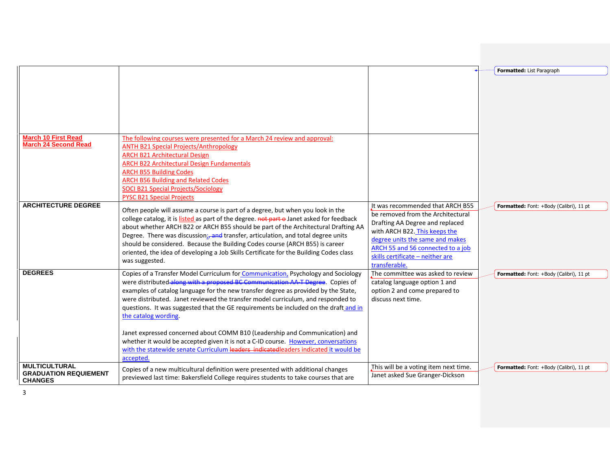| <b>March 10 First Read</b>                                             | The following courses were presented for a March 24 review and approval:                                                                                                                                                                                                                                                                                                                                                                                                                                                                                                                                                                                                                                                               |                                                                                                                                                                                                                                                                        | Formatted: List Paragraph               |
|------------------------------------------------------------------------|----------------------------------------------------------------------------------------------------------------------------------------------------------------------------------------------------------------------------------------------------------------------------------------------------------------------------------------------------------------------------------------------------------------------------------------------------------------------------------------------------------------------------------------------------------------------------------------------------------------------------------------------------------------------------------------------------------------------------------------|------------------------------------------------------------------------------------------------------------------------------------------------------------------------------------------------------------------------------------------------------------------------|-----------------------------------------|
| <b>March 24 Second Read</b>                                            | <b>ANTH B21 Special Projects/Anthropology</b><br><b>ARCH B21 Architectural Design</b><br><b>ARCH B22 Architectural Design Fundamentals</b><br><b>ARCH B55 Building Codes</b><br><b>ARCH B56 Building and Related Codes</b><br><b>SOCI B21 Special Projects/Sociology</b><br><b>PYSC B21 Special Projects</b>                                                                                                                                                                                                                                                                                                                                                                                                                           |                                                                                                                                                                                                                                                                        |                                         |
| <b>ARCHITECTURE DEGREE</b>                                             | Often people will assume a course is part of a degree, but when you look in the<br>college catalog, it is listed as part of the degree. not part o Janet asked for feedback<br>about whether ARCH B22 or ARCH B55 should be part of the Architectural Drafting AA<br>Degree. There was discussion; and transfer, articulation, and total degree units<br>should be considered. Because the Building Codes course (ARCH B55) is career<br>oriented, the idea of developing a Job Skills Certificate for the Building Codes class<br>was suggested.                                                                                                                                                                                      | It was recommended that ARCH B55<br>be removed from the Architectural<br>Drafting AA Degree and replaced<br>with ARCH B22. This keeps the<br>degree units the same and makes<br>ARCH 55 and 56 connected to a job<br>skills certificate - neither are<br>transferable. | Formatted: Font: +Body (Calibri), 11 pt |
| <b>DEGREES</b>                                                         | Copies of a Transfer Model Curriculum for Communication, Psychology and Sociology<br>were distributed along with a proposed BC Communication AA T Degree. Copies of<br>examples of catalog language for the new transfer degree as provided by the State,<br>were distributed. Janet reviewed the transfer model curriculum, and responded to<br>questions. It was suggested that the GE requirements be included on the draft and in<br>the catalog wording.<br>Janet expressed concerned about COMM B10 (Leadership and Communication) and<br>whether it would be accepted given it is not a C-ID course. However, conversations<br>with the statewide senate Curriculum leaders indicatedleaders indicated it would be<br>accepted. | The committee was asked to review<br>catalog language option 1 and<br>option 2 and come prepared to<br>discuss next time.                                                                                                                                              | Formatted: Font: +Body (Calibri), 11 pt |
| <b>MULTICULTURAL</b><br><b>GRADUATION REQUIEMENT</b><br><b>CHANGES</b> | Copies of a new multicultural definition were presented with additional changes<br>previewed last time: Bakersfield College requires students to take courses that are                                                                                                                                                                                                                                                                                                                                                                                                                                                                                                                                                                 | This will be a voting item next time.<br>Janet asked Sue Granger-Dickson                                                                                                                                                                                               | Formatted: Font: +Body (Calibri), 11 pt |

3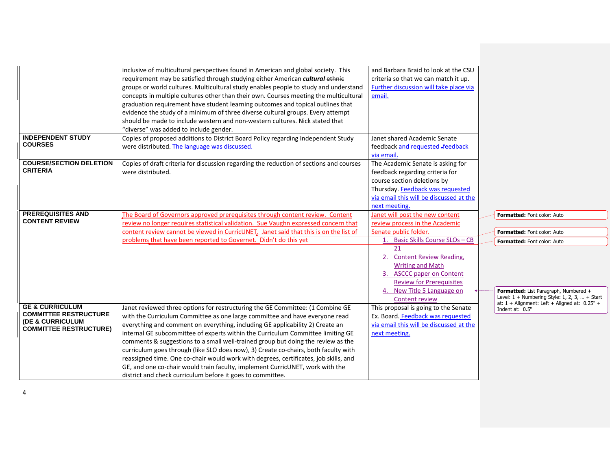| <b>INDEPENDENT STUDY</b>                                                                                                   | inclusive of multicultural perspectives found in American and global society. This<br>requirement may be satisfied through studying either American cultural ethnic<br>groups or world cultures. Multicultural study enables people to study and understand<br>concepts in multiple cultures other than their own. Courses meeting the multicultural<br>graduation requirement have student learning outcomes and topical outlines that<br>evidence the study of a minimum of three diverse cultural groups. Every attempt<br>should be made to include western and non-western cultures. Nick stated that<br>"diverse" was added to include gender.                                                                                                | and Barbara Braid to look at the CSU<br>criteria so that we can match it up.<br>Further discussion will take place via<br>email.                                                                                                                                                                                     |                                                                                                                                                                                                                                                   |
|----------------------------------------------------------------------------------------------------------------------------|-----------------------------------------------------------------------------------------------------------------------------------------------------------------------------------------------------------------------------------------------------------------------------------------------------------------------------------------------------------------------------------------------------------------------------------------------------------------------------------------------------------------------------------------------------------------------------------------------------------------------------------------------------------------------------------------------------------------------------------------------------|----------------------------------------------------------------------------------------------------------------------------------------------------------------------------------------------------------------------------------------------------------------------------------------------------------------------|---------------------------------------------------------------------------------------------------------------------------------------------------------------------------------------------------------------------------------------------------|
| <b>COURSES</b>                                                                                                             | Copies of proposed additions to District Board Policy regarding Independent Study<br>were distributed. The language was discussed.                                                                                                                                                                                                                                                                                                                                                                                                                                                                                                                                                                                                                  | Janet shared Academic Senate<br>feedback and requested -feedback<br>via email.                                                                                                                                                                                                                                       |                                                                                                                                                                                                                                                   |
| <b>COURSE/SECTION DELETION</b><br><b>CRITERIA</b>                                                                          | Copies of draft criteria for discussion regarding the reduction of sections and courses<br>were distributed.                                                                                                                                                                                                                                                                                                                                                                                                                                                                                                                                                                                                                                        | The Academic Senate is asking for<br>feedback regarding criteria for<br>course section deletions by<br>Thursday. Feedback was requested<br>via email this will be discussed at the<br>next meeting.                                                                                                                  |                                                                                                                                                                                                                                                   |
| <b>PREREQUISITES AND</b><br><b>CONTENT REVIEW</b>                                                                          | The Board of Governors approved prerequisites through content review. Content<br>review no longer requires statistical validation. Sue Vaughn expressed concern that<br>content review cannot be viewed in CurricUNET. Janet said that this is on the list of<br>problems that have been reported to Governet. Didn't do this yet                                                                                                                                                                                                                                                                                                                                                                                                                   | Janet will post the new content<br>review process in the Academic<br>Senate public folder.<br>1. Basic Skills Course SLOs - CB<br>21<br>2. Content Review Reading,<br><b>Writing and Math</b><br>3. ASCCC paper on Content<br><b>Review for Prerequisites</b><br>4. New Title 5 Language on<br><b>Content review</b> | Formatted: Font color: Auto<br><b>Formatted: Font color: Auto</b><br>Formatted: Font color: Auto<br>Formatted: List Paragraph, Numbered +<br>Level: $1 +$ Numbering Style: 1, 2, 3,  + Start<br>at: $1 +$ Alignment: Left + Aligned at: $0.25"$ + |
| <b>GE &amp; CURRICULUM</b><br><b>COMMITTEE RESTRUCTURE</b><br><b>(DE &amp; CURRICULUM</b><br><b>COMMITTEE RESTRUCTURE)</b> | Janet reviewed three options for restructuring the GE Committee: (1 Combine GE<br>with the Curriculum Committee as one large committee and have everyone read<br>everything and comment on everything, including GE applicability 2) Create an<br>internal GE subcommittee of experts within the Curriculum Committee limiting GE<br>comments & suggestions to a small well-trained group but doing the review as the<br>curriculum goes through (like SLO does now), 3) Create co-chairs, both faculty with<br>reassigned time. One co-chair would work with degrees, certificates, job skills, and<br>GE, and one co-chair would train faculty, implement CurricUNET, work with the<br>district and check curriculum before it goes to committee. | This proposal is going to the Senate<br>Ex. Board. Feedback was requested<br>via email this will be discussed at the<br>next meeting.                                                                                                                                                                                | Indent at: 0.5"                                                                                                                                                                                                                                   |

 $\overline{A}$